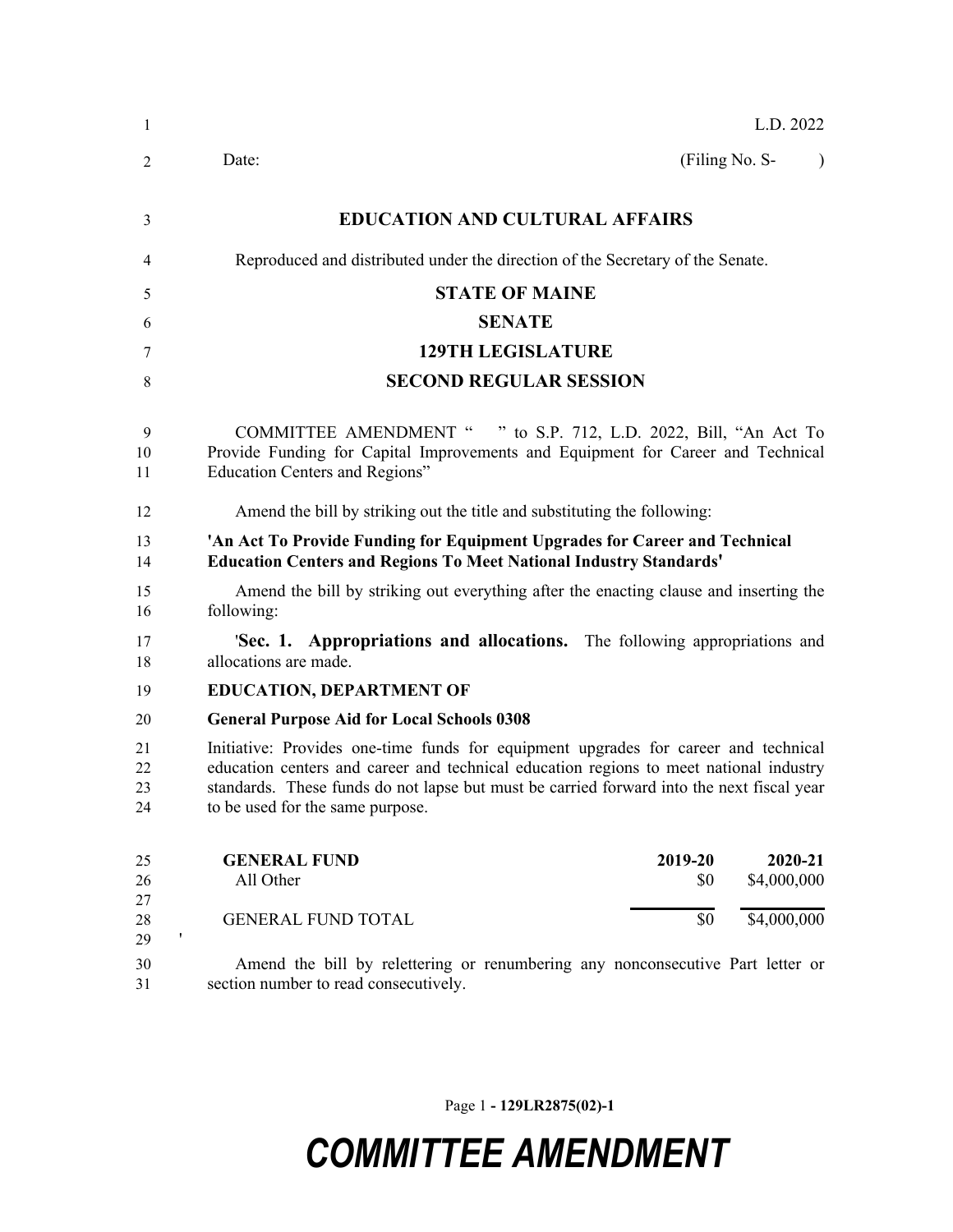| 1                    | L.D. 2022                                                                                                                                                                                                                                                                                                      |
|----------------------|----------------------------------------------------------------------------------------------------------------------------------------------------------------------------------------------------------------------------------------------------------------------------------------------------------------|
| 2                    | (Filing No. S-<br>Date:<br>$\lambda$                                                                                                                                                                                                                                                                           |
| 3                    | <b>EDUCATION AND CULTURAL AFFAIRS</b>                                                                                                                                                                                                                                                                          |
| 4                    | Reproduced and distributed under the direction of the Secretary of the Senate.                                                                                                                                                                                                                                 |
| 5                    | <b>STATE OF MAINE</b>                                                                                                                                                                                                                                                                                          |
| 6                    | <b>SENATE</b>                                                                                                                                                                                                                                                                                                  |
| 7                    | <b>129TH LEGISLATURE</b>                                                                                                                                                                                                                                                                                       |
| 8                    | <b>SECOND REGULAR SESSION</b>                                                                                                                                                                                                                                                                                  |
| 9<br>10<br>11        | <b>COMMITTEE AMENDMENT "</b><br>" to S.P. 712, L.D. 2022, Bill, "An Act To<br>Provide Funding for Capital Improvements and Equipment for Career and Technical<br>Education Centers and Regions"                                                                                                                |
| 12                   | Amend the bill by striking out the title and substituting the following:                                                                                                                                                                                                                                       |
| 13<br>14             | 'An Act To Provide Funding for Equipment Upgrades for Career and Technical<br><b>Education Centers and Regions To Meet National Industry Standards'</b>                                                                                                                                                        |
| 15<br>16             | Amend the bill by striking out everything after the enacting clause and inserting the<br>following:                                                                                                                                                                                                            |
| 17<br>18             | 'Sec. 1. Appropriations and allocations. The following appropriations and<br>allocations are made.                                                                                                                                                                                                             |
| 19                   | <b>EDUCATION, DEPARTMENT OF</b>                                                                                                                                                                                                                                                                                |
| 20                   | <b>General Purpose Aid for Local Schools 0308</b>                                                                                                                                                                                                                                                              |
| 21<br>22<br>23<br>24 | Initiative: Provides one-time funds for equipment upgrades for career and technical<br>education centers and career and technical education regions to meet national industry<br>standards. These funds do not lapse but must be carried forward into the next fiscal year<br>to be used for the same purpose. |
| 25<br>26             | 2020-21<br>2019-20<br><b>GENERAL FUND</b><br>All Other<br>\$4,000,000<br>\$0                                                                                                                                                                                                                                   |
| 27<br>28<br>,<br>29  | \$0<br>\$4,000,000<br><b>GENERAL FUND TOTAL</b>                                                                                                                                                                                                                                                                |
| 30<br>31             | Amend the bill by relettering or renumbering any nonconsecutive Part letter or<br>section number to read consecutively.                                                                                                                                                                                        |

Page 1 **- 129LR2875(02)-1**

## *COMMITTEE AMENDMENT*